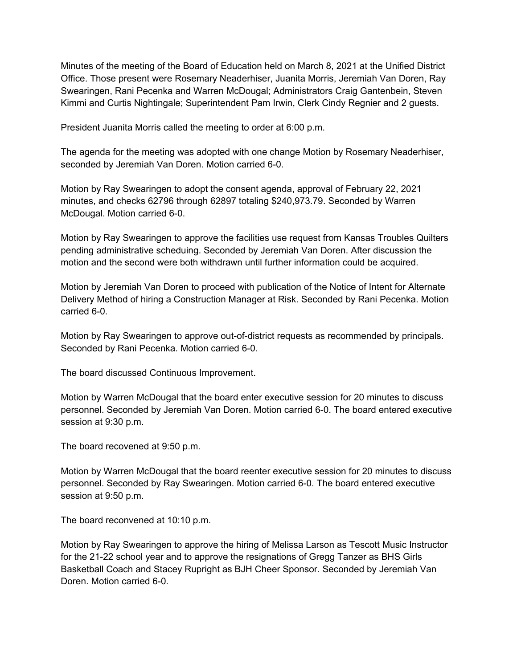Minutes of the meeting of the Board of Education held on March 8, 2021 at the Unified District Office. Those present were Rosemary Neaderhiser, Juanita Morris, Jeremiah Van Doren, Ray Swearingen, Rani Pecenka and Warren McDougal; Administrators Craig Gantenbein, Steven Kimmi and Curtis Nightingale; Superintendent Pam Irwin, Clerk Cindy Regnier and 2 guests.

President Juanita Morris called the meeting to order at 6:00 p.m.

The agenda for the meeting was adopted with one change Motion by Rosemary Neaderhiser, seconded by Jeremiah Van Doren. Motion carried 6-0.

Motion by Ray Swearingen to adopt the consent agenda, approval of February 22, 2021 minutes, and checks 62796 through 62897 totaling \$240,973.79. Seconded by Warren McDougal. Motion carried 6-0.

Motion by Ray Swearingen to approve the facilities use request from Kansas Troubles Quilters pending administrative scheduing. Seconded by Jeremiah Van Doren. After discussion the motion and the second were both withdrawn until further information could be acquired.

Motion by Jeremiah Van Doren to proceed with publication of the Notice of Intent for Alternate Delivery Method of hiring a Construction Manager at Risk. Seconded by Rani Pecenka. Motion carried 6-0.

Motion by Ray Swearingen to approve out-of-district requests as recommended by principals. Seconded by Rani Pecenka. Motion carried 6-0.

The board discussed Continuous Improvement.

Motion by Warren McDougal that the board enter executive session for 20 minutes to discuss personnel. Seconded by Jeremiah Van Doren. Motion carried 6-0. The board entered executive session at 9:30 p.m.

The board recovened at 9:50 p.m.

Motion by Warren McDougal that the board reenter executive session for 20 minutes to discuss personnel. Seconded by Ray Swearingen. Motion carried 6-0. The board entered executive session at 9:50 p.m.

The board reconvened at 10:10 p.m.

Motion by Ray Swearingen to approve the hiring of Melissa Larson as Tescott Music Instructor for the 21-22 school year and to approve the resignations of Gregg Tanzer as BHS Girls Basketball Coach and Stacey Rupright as BJH Cheer Sponsor. Seconded by Jeremiah Van Doren. Motion carried 6-0.